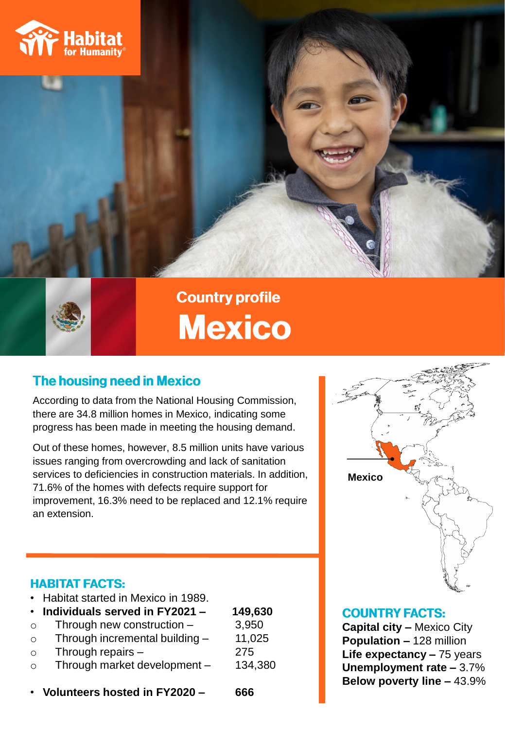



## **Country profile Mexico**

### **The housing need in Mexico**

According to data from the National Housing Commission, there are 34.8 million homes in Mexico, indicating some progress has been made in meeting the housing demand.

Out of these homes, however, 8.5 million units have various issues ranging from overcrowding and lack of sanitation services to deficiencies in construction materials. In addition, 71.6% of the homes with defects require support for improvement, 16.3% need to be replaced and 12.1% require an extension.



### **HABITAT FACTS:**

|         | • Habitat started in Mexico in 1989. |         |
|---------|--------------------------------------|---------|
|         | Individuals served in FY2021 -       | 149,630 |
| $\circ$ | Through new construction $-$         | 3,950   |
| $\circ$ | Through incremental building -       | 11,025  |
| $\circ$ | Through repairs $-$                  | 275     |
| $\circ$ | Through market development -         | 134,380 |
|         |                                      |         |
|         | Volunteers hosted in FY2020 -        | 666     |

### **COUNTRY FACTS:**

**Capital city –** Mexico City **Population –** 128 million **Life expectancy –** 75 years **Unemployment rate –** 3.7% **Below poverty line –** 43.9%